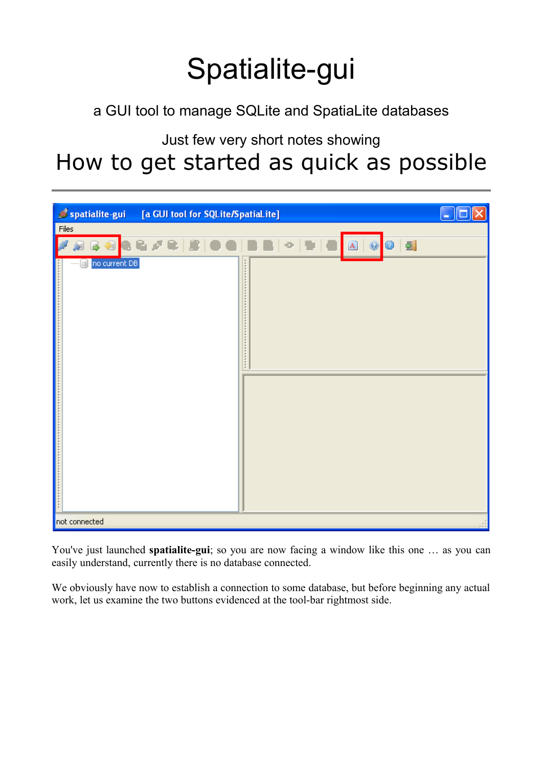# Spatialite-gui

a GUI tool to manage SQLite and SpatiaLite databases

Just few very short notes showing

## How to get started as quick as possible



You've just launched **spatialite-gui**; so you are now facing a window like this one … as you can easily understand, currently there is no database connected.

We obviously have now to establish a connection to some database, but before beginning any actual work, let us examine the two buttons evidenced at the tool-bar rightmost side.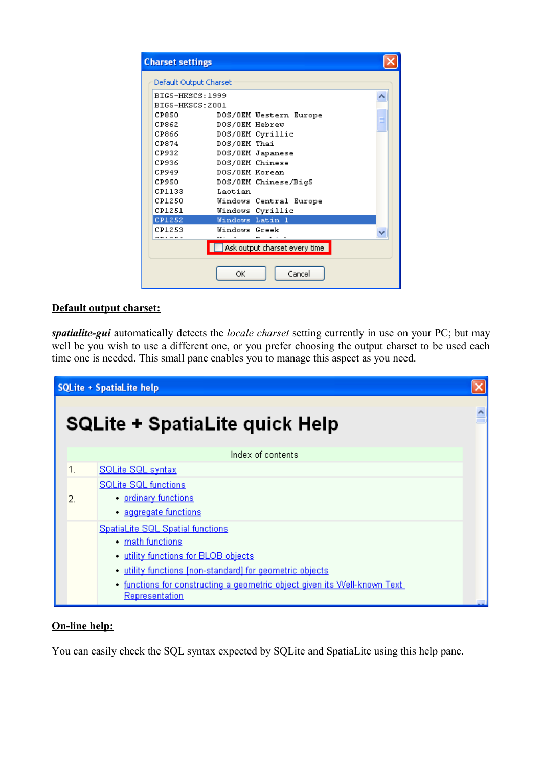| <b>Charset settings</b> |                               |  |
|-------------------------|-------------------------------|--|
| Default Output Charset  |                               |  |
| <b>BIGS-HKSCS: 1999</b> |                               |  |
| BIG5-HKSCS: 2001        |                               |  |
| CP850                   | DOS/OEM Western Europe        |  |
| CP862                   | DOS/OEM Hebrew                |  |
| CP866                   | DOS/OEM Cyrillic              |  |
| CP874                   | DOS/OEM Thai                  |  |
| CP932                   | DOS/OEM Japanese              |  |
| CP936                   | DOS/OEM Chinese               |  |
| CP949                   | DOS/OEM Korean                |  |
| CP950                   | DOS/OEM Chinese/Big5          |  |
| CP1133                  | Laotian                       |  |
| CP1250                  | <b>Windows Central Europe</b> |  |
| CP1251                  | Windows Cyrillic              |  |
| CP1252                  | Windows Latin 1               |  |
| CP1253                  | Windows Greek                 |  |
| ani de 4                | $\overline{\phantom{m}}$      |  |
|                         | Ask output charset every time |  |
|                         | Cancel<br>ОK                  |  |

#### **Default output charset:**

*spatialite-gui* automatically detects the *locale charset* setting currently in use on your PC; but may well be you wish to use a different one, or you prefer choosing the output charset to be used each time one is needed. This small pane enables you to manage this aspect as you need.

|    | <b>SQLite + SpatiaLite help</b>                                                                     |  |
|----|-----------------------------------------------------------------------------------------------------|--|
|    | <b>SQLite + SpatiaLite quick Help</b>                                                               |  |
|    | Index of contents                                                                                   |  |
|    | <b>SQLite SQL syntax</b>                                                                            |  |
|    | <b>SQLite SQL functions</b>                                                                         |  |
| 2. | • ordinary functions                                                                                |  |
|    | · aggregate functions                                                                               |  |
|    | <b>SpatiaLite SQL Spatial functions</b>                                                             |  |
|    | • math functions                                                                                    |  |
|    | . utility functions for BLOB objects                                                                |  |
|    | · utility functions [non-standard] for geometric objects                                            |  |
|    | • functions for constructing a geometric object given its Well-known Text.<br><b>Representation</b> |  |

#### **On-line help:**

You can easily check the SQL syntax expected by SQLite and SpatiaLite using this help pane.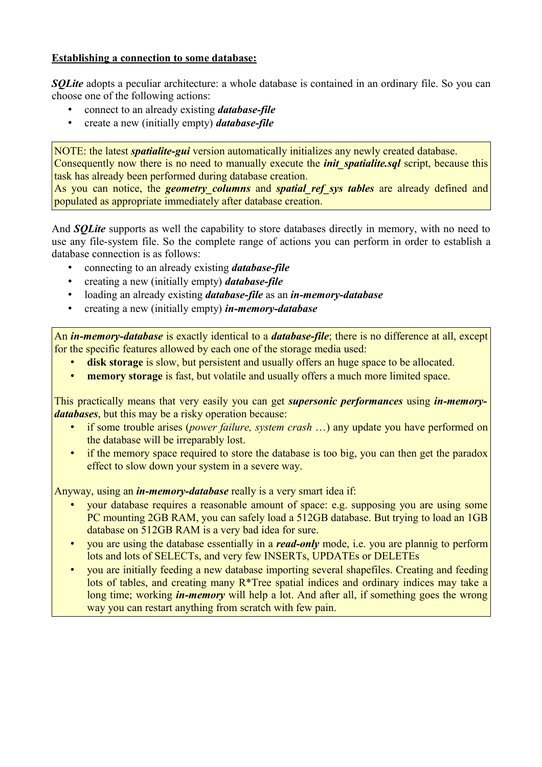#### **Establishing a connection to some database:**

*SQLite* adopts a peculiar architecture: a whole database is contained in an ordinary file. So you can choose one of the following actions:

- connect to an already existing *database-file*
- create a new (initially empty) *database-file*

NOTE: the latest *spatialite-gui* version automatically initializes any newly created database. Consequently now there is no need to manually execute the *init* spatialite.sql script, because this task has already been performed during database creation.

As you can notice, the *geometry columns* and *spatial ref* sys *tables* are already defined and populated as appropriate immediately after database creation.

And **SOLite** supports as well the capability to store databases directly in memory, with no need to use any file-system file. So the complete range of actions you can perform in order to establish a database connection is as follows:

- connecting to an already existing *database-file*
- creating a new (initially empty) *database-file*
- loading an already existing *database-file* as an *in-memory-database*
- creating a new (initially empty) *in-memory-database*

An *in-memory-database* is exactly identical to a *database-file*; there is no difference at all, except for the specific features allowed by each one of the storage media used:

- **disk storage** is slow, but persistent and usually offers an huge space to be allocated.
- **memory storage** is fast, but volatile and usually offers a much more limited space.

This practically means that very easily you can get *supersonic performances* using *in-memorydatabases*, but this may be a risky operation because:

- if some trouble arises (*power failure, system crash* …) any update you have performed on the database will be irreparably lost.
- if the memory space required to store the database is too big, you can then get the paradox effect to slow down your system in a severe way.

Anyway, using an *in-memory-database* really is a very smart idea if:

- your database requires a reasonable amount of space: e.g. supposing you are using some PC mounting 2GB RAM, you can safely load a 512GB database. But trying to load an 1GB database on 512GB RAM is a very bad idea for sure.
- you are using the database essentially in a *read-only* mode, i.e. you are plannig to perform lots and lots of SELECTs, and very few INSERTs, UPDATEs or DELETEs
- you are initially feeding a new database importing several shapefiles. Creating and feeding lots of tables, and creating many R\*Tree spatial indices and ordinary indices may take a long time; working *in-memory* will help a lot. And after all, if something goes the wrong way you can restart anything from scratch with few pain.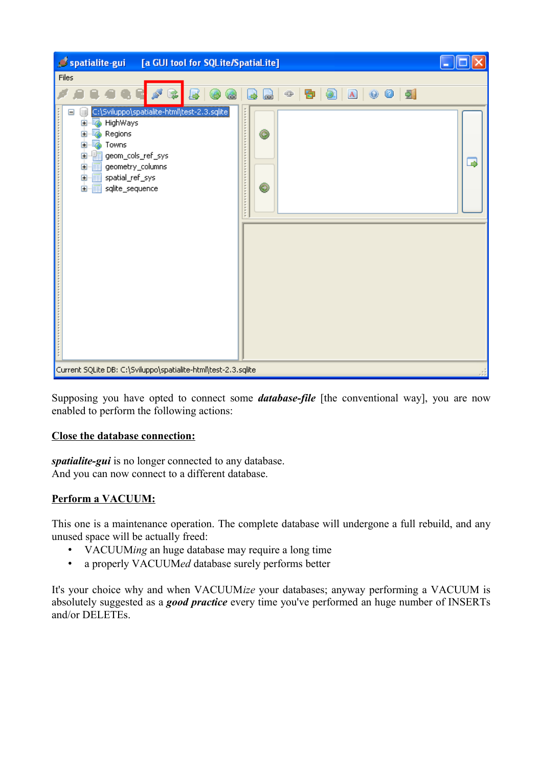| spatialite-gui<br>[a GUI tool for SQLite/SpatiaLite]                                                                                                                                                                                                                           | ш |
|--------------------------------------------------------------------------------------------------------------------------------------------------------------------------------------------------------------------------------------------------------------------------------|---|
| <b>Files</b>                                                                                                                                                                                                                                                                   |   |
| 8 8 0 0 1<br>昏上<br>$\qquad \qquad \oplus$<br>宝<br>$\bigoplus$<br>œ                                                                                                                                                                                                             |   |
| C:\Sviluppo\spatialite-html\test-2.3.sqlite <br>Ξ<br>HighWays<br><b></b><br>田…<br>◉<br>Regions<br>ø<br>田…<br>Towns<br>Ė<br>嵣<br>geom_cols_ref_sys<br>Ė<br>geometry_columns<br>顧<br>o.<br>中 <sub>1</sub> spatial_ref_sys<br><b></b><br>$\circledcirc$<br>白 扁<br>sqlite_sequence | B |
| Current SQLite DB: C:\Sviluppo\spatialite-html\test-2.3.sqlite                                                                                                                                                                                                                 |   |

Supposing you have opted to connect some *database-file* [the conventional way], you are now enabled to perform the following actions:

#### **Close the database connection:**

*spatialite-gui* is no longer connected to any database. And you can now connect to a different database.

#### **Perform a VACUUM:**

This one is a maintenance operation. The complete database will undergone a full rebuild, and any unused space will be actually freed:

- VACUUM*ing* an huge database may require a long time
- a properly VACUUM*ed* database surely performs better

It's your choice why and when VACUUM*ize* your databases; anyway performing a VACUUM is absolutely suggested as a *good practice* every time you've performed an huge number of INSERTs and/or DELETEs.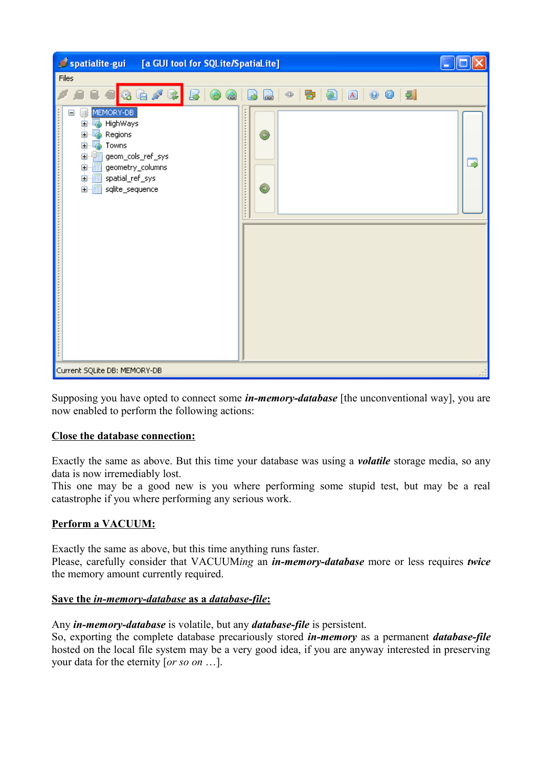| spatialite-gui<br>[a GUI tool for SQLite/SpatiaLite]                                                                                                                                                            | $\Box$ |
|-----------------------------------------------------------------------------------------------------------------------------------------------------------------------------------------------------------------|--------|
| Files                                                                                                                                                                                                           |        |
| <b>Q &amp; / &amp;</b><br>$\oplus$<br>U<br>d<br>2                                                                                                                                                               |        |
| MEMORY-DB<br>$\equiv$<br>H)<br>Ò-5<br>HighWays<br>Ò-5<br>◉<br>Regions<br>ங்<br>t.<br>Towns<br>ė.<br>龐<br>geom_cols_ref_sys<br>ė<br>geometry_columns<br>中 matial_ref_sys<br><b>.</b><br>◉<br>E-E sqlite_sequence | 3      |
| Current SQLite DB: MEMORY-DB                                                                                                                                                                                    |        |

Supposing you have opted to connect some *in-memory-database* [the unconventional way], you are now enabled to perform the following actions:

#### **Close the database connection:**

Exactly the same as above. But this time your database was using a *volatile* storage media, so any data is now irremediably lost.

This one may be a good new is you where performing some stupid test, but may be a real catastrophe if you where performing any serious work.

#### **Perform a VACUUM:**

Exactly the same as above, but this time anything runs faster. Please, carefully consider that VACUUM*ing* an *in-memory-database* more or less requires *twice* the memory amount currently required.

#### **Save the** *in-memory-database* **as a** *database-file* **:**

Any *in-memory-database* is volatile, but any *database-file* is persistent.

So, exporting the complete database precariously stored *in-memory* as a permanent *database-file* hosted on the local file system may be a very good idea, if you are anyway interested in preserving your data for the eternity [*or so on* …].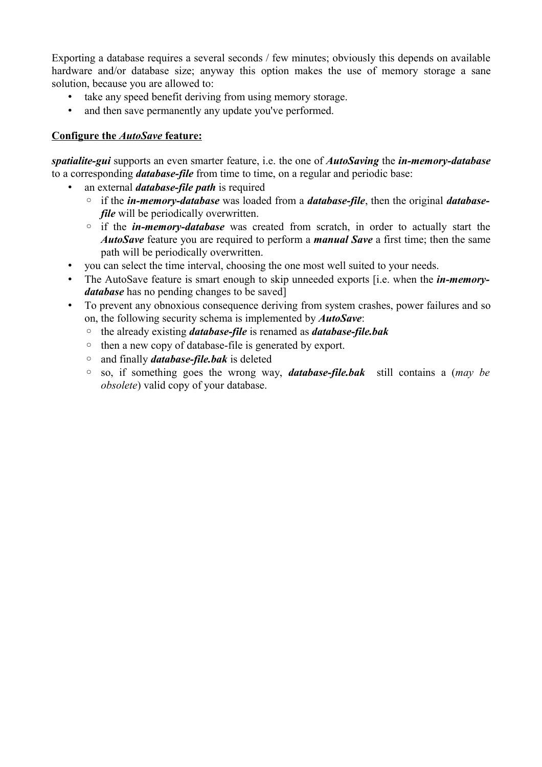Exporting a database requires a several seconds / few minutes; obviously this depends on available hardware and/or database size; anyway this option makes the use of memory storage a sane solution, because you are allowed to:

- take any speed benefit deriving from using memory storage.
- and then save permanently any update you've performed.

#### **Configure the** *AutoSave* **feature:**

*spatialite-gui* supports an even smarter feature, i.e. the one of *AutoSaving* the *in-memory-database* to a corresponding *database-file* from time to time, on a regular and periodic base:

- an external *database-file path* is required
	- if the *in-memory-database* was loaded from a *database-file*, then the original *databasefile* will be periodically overwritten.
	- if the *in-memory-database* was created from scratch, in order to actually start the *AutoSave* feature you are required to perform a *manual Save* a first time; then the same path will be periodically overwritten.
- you can select the time interval, choosing the one most well suited to your needs.
- The AutoSave feature is smart enough to skip unneeded exports [i.e. when the *in-memorydatabase* has no pending changes to be saved]
- To prevent any obnoxious consequence deriving from system crashes, power failures and so on, the following security schema is implemented by *AutoSave*:
	- the already existing *database-file* is renamed as *database-file.bak*
	- then a new copy of database-file is generated by export.
	- and finally *database-file.bak* is deleted
	- so, if something goes the wrong way, *database-file.bak* still contains a (*may be obsolete*) valid copy of your database.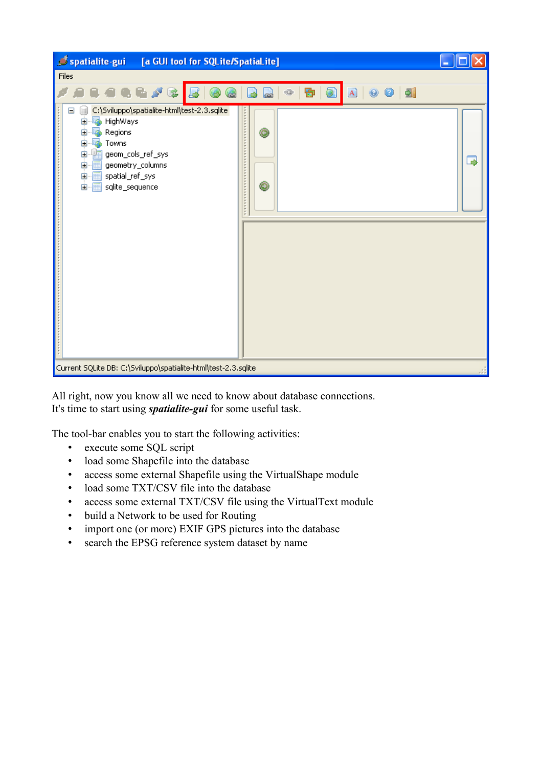| Spatialite-gui<br>[a GUI tool for SQLite/SpatiaLite]                                                                                                                                                                 | ٠ |
|----------------------------------------------------------------------------------------------------------------------------------------------------------------------------------------------------------------------|---|
| Files                                                                                                                                                                                                                |   |
| 0<br>$\mathbb{R}^d$<br>図<br>s<br>$\mathbf{A} \mid \mathbf{0}$<br>⊕<br>は                                                                                                                                              |   |
| C:\Sviluppo\spatialite-html\test-2.3.sqlite<br>Ξ<br>HighWays<br>Ė<br>ø<br>◉<br>Regions<br>Ò<br>ė<br>Towns<br>ė<br>Œ<br>geom_cols_ref_sys<br>geometry_columns<br>ė<br>顧<br>中 matial_ref_sys<br>◉<br>E sqlite_sequence | ⇒ |
| Current SQLite DB: C:\Sviluppo\spatialite-html\test-2.3.sqlite                                                                                                                                                       |   |

All right, now you know all we need to know about database connections. It's time to start using *spatialite-gui* for some useful task.

The tool-bar enables you to start the following activities:

- execute some SQL script
- load some Shapefile into the database
- access some external Shapefile using the VirtualShape module
- load some TXT/CSV file into the database
- access some external TXT/CSV file using the VirtualText module
- build a Network to be used for Routing
- import one (or more) EXIF GPS pictures into the database
- search the EPSG reference system dataset by name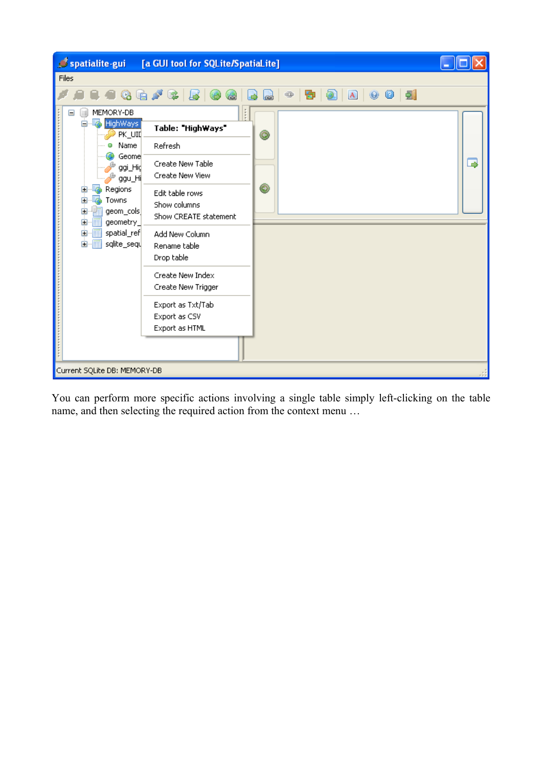

You can perform more specific actions involving a single table simply left-clicking on the table name, and then selecting the required action from the context menu …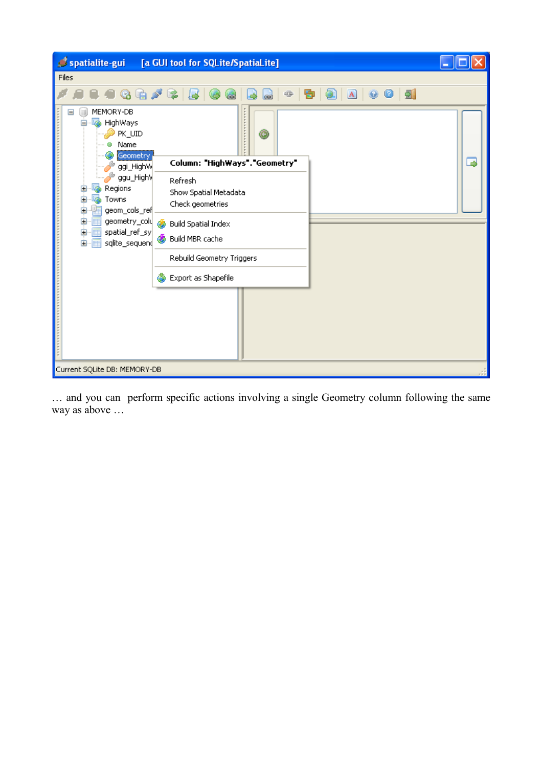

… and you can perform specific actions involving a single Geometry column following the same way as above …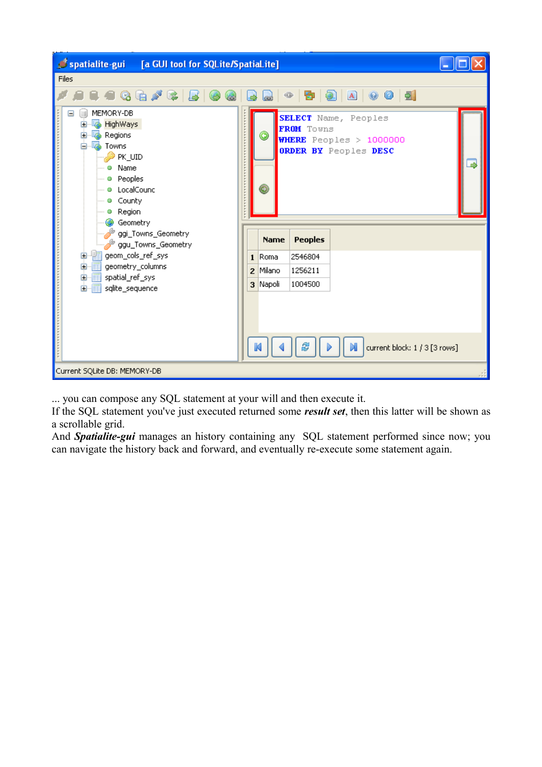| spatialite-gui [a GUI tool for SQLite/SpatiaLite]                                                                                                                                                       |  |             |                |                                                                                 |  |
|---------------------------------------------------------------------------------------------------------------------------------------------------------------------------------------------------------|--|-------------|----------------|---------------------------------------------------------------------------------|--|
| Files                                                                                                                                                                                                   |  |             |                |                                                                                 |  |
| $Q \oplus P$ $\downarrow$                                                                                                                                                                               |  | فعا         | ⊕<br>Đ         | 8 A G G 5                                                                       |  |
| MEMORY-DB<br>шÌ<br>50<br><b>HighWays</b><br>Đ<br>Regions<br>Ŧ<br><b>Towns</b><br>Ėŀ<br>PK_UID<br>· Name<br><sup></sup> ● Peoples<br><sup></sup> ⊕ LocalCounc<br><sup></sup> ● County<br><b>a</b> Region |  | ◉<br>0      | FROM Towns     | SELECT Name, Peoples<br><b>WHERE</b> Peoples > 1000000<br>ORDER BY Peoples DESC |  |
| Geometry<br>ggi_Towns_Geometry<br>ggu_Towns_Geometry<br><mark>打</mark> geom_cols_ref_sys<br>⊕<br>geometry_columns<br>Ė.<br>国·• <b>国</b> spatial_ref_sys                                                 |  | <b>Name</b> | <b>Peoples</b> |                                                                                 |  |
|                                                                                                                                                                                                         |  | 1 Roma      | 2546804        |                                                                                 |  |
|                                                                                                                                                                                                         |  | 2 Milano    | 1256211        |                                                                                 |  |
| 国··· sqlite_sequence                                                                                                                                                                                    |  | 3 Napoli    | 1004500        |                                                                                 |  |
|                                                                                                                                                                                                         |  |             |                | current block: 1 / 3 [3 rows]<br>DI                                             |  |
| Current SQLite DB: MEMORY-DB                                                                                                                                                                            |  |             |                |                                                                                 |  |

... you can compose any SQL statement at your will and then execute it.

If the SQL statement you've just executed returned some *result set*, then this latter will be shown as a scrollable grid.

And **Spatialite-gui** manages an history containing any SQL statement performed since now; you can navigate the history back and forward, and eventually re-execute some statement again.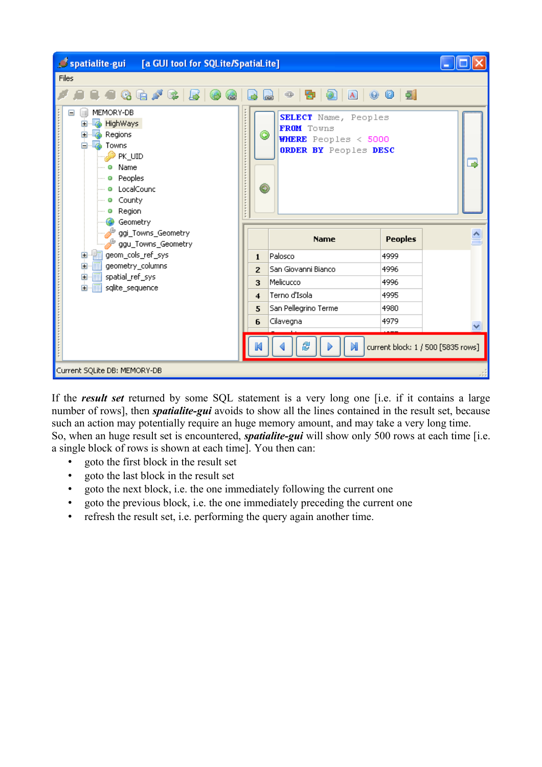| spatialite-gui [a GUI tool for SQLite/SpatiaLite]                                                                                                                     |                     |                                                                                            |                |                                    |
|-----------------------------------------------------------------------------------------------------------------------------------------------------------------------|---------------------|--------------------------------------------------------------------------------------------|----------------|------------------------------------|
| Files                                                                                                                                                                 |                     |                                                                                            |                |                                    |
| $-1.3$ . The set of $\sim$                                                                                                                                            |                     | 8 8 0 0 5<br>⊕<br>Đ<br>œ                                                                   |                |                                    |
| MEMORY-DB<br>Ξ<br>ш<br><b>HighWays</b><br>L.<br>œ.<br>Regions<br><b>Towns</b><br>PK_UID<br>Name<br>o<br><b>a</b> Peoples<br>· LocalCounc<br>- @ County<br>Region<br>o | ◉<br>◉              | SELECT Name, Peoples<br>FROM Towns<br><b>WHERE</b> Peoples < 5000<br>ORDER BY Peoples DESC |                | د                                  |
| Geometry<br>ggi_Towns_Geometry<br>ggu_Towns_Geometry                                                                                                                  |                     | <b>Name</b>                                                                                | <b>Peoples</b> |                                    |
| geom_cols_ref_sys<br>$\mathbf \Xi$                                                                                                                                    | 1                   | Palosco                                                                                    | 4999           |                                    |
| geometry_columns<br>Ė.                                                                                                                                                |                     | San Giovanni Bianco                                                                        | 4996           |                                    |
| ■ spatial_ref_sys<br>Ė.<br>由 -- sqlite_sequence                                                                                                                       | 3                   | Melicucco                                                                                  | 4996           |                                    |
|                                                                                                                                                                       | $\overline{\bf{4}}$ | Terno d'Isola                                                                              | 4995           |                                    |
|                                                                                                                                                                       | 5                   | San Pellegrino Terme                                                                       | 4980           |                                    |
|                                                                                                                                                                       | 6                   | Cilavegna                                                                                  | 4979           |                                    |
|                                                                                                                                                                       |                     | N                                                                                          |                | current block: 1 / 500 [5835 rows] |
| Current SQLite DB: MEMORY-DB                                                                                                                                          |                     |                                                                                            |                |                                    |

If the *result set* returned by some SQL statement is a very long one [i.e. if it contains a large number of rows], then *spatialite-gui* avoids to show all the lines contained in the result set, because such an action may potentially require an huge memory amount, and may take a very long time. So, when an huge result set is encountered, *spatialite-gui* will show only 500 rows at each time [i.e. a single block of rows is shown at each time]. You then can:

- goto the first block in the result set
- goto the last block in the result set
- goto the next block, i.e. the one immediately following the current one
- goto the previous block, i.e. the one immediately preceding the current one
- refresh the result set, i.e. performing the query again another time.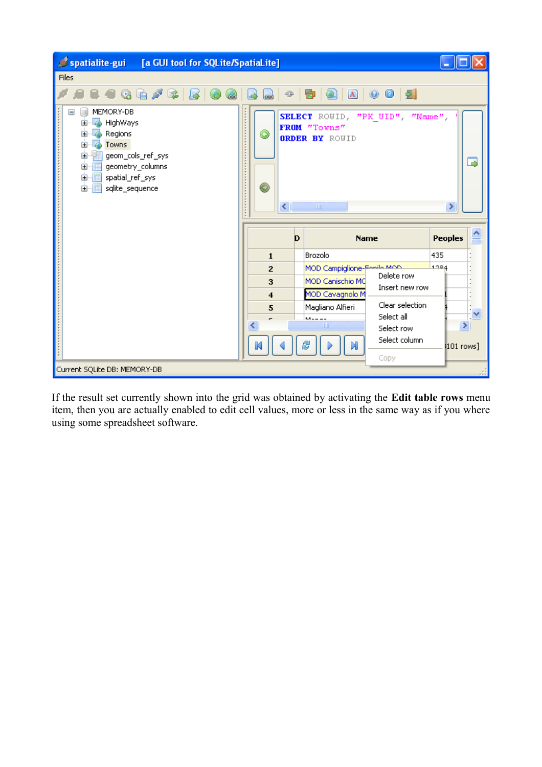

If the result set currently shown into the grid was obtained by activating the **Edit table rows** menu item, then you are actually enabled to edit cell values, more or less in the same way as if you where using some spreadsheet software.